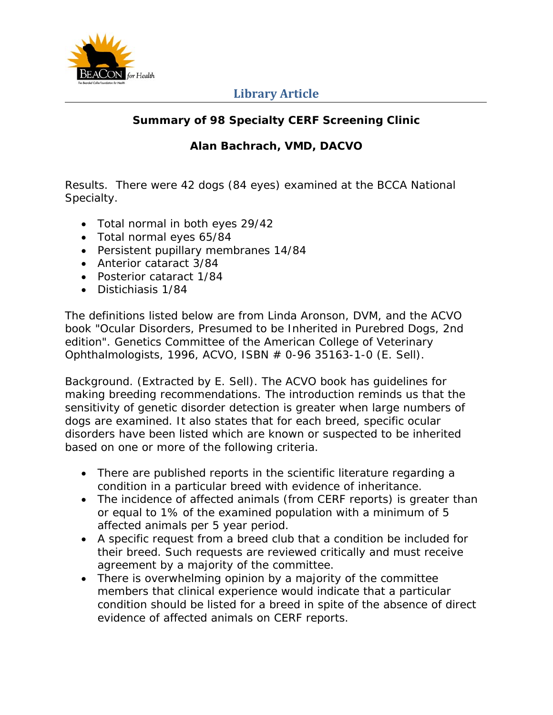

## **Library Article**

## **Summary of 98 Specialty CERF Screening Clinic**

## **Alan Bachrach, VMD, DACVO**

Results. There were 42 dogs (84 eyes) examined at the BCCA National Specialty.

- Total normal in both eyes 29/42
- Total normal eyes 65/84
- Persistent pupillary membranes 14/84
- Anterior cataract 3/84
- Posterior cataract 1/84
- Distichiasis 1/84

The definitions listed below are from Linda Aronson, DVM, and the ACVO book "Ocular Disorders, Presumed to be Inherited in Purebred Dogs, 2nd edition". Genetics Committee of the American College of Veterinary Ophthalmologists, 1996, ACVO, ISBN # 0-96 35163-1-0 (E. Sell).

Background. (Extracted by E. Sell). The ACVO book has guidelines for making breeding recommendations. The introduction reminds us that the sensitivity of genetic disorder detection is greater when large numbers of dogs are examined. It also states that for each breed, specific ocular disorders have been listed which are known or suspected to be inherited based on one or more of the following criteria.

- There are published reports in the scientific literature regarding a condition in a particular breed with evidence of inheritance.
- The incidence of affected animals (from CERF reports) is greater than or equal to 1% of the examined population with a minimum of 5 affected animals per 5 year period.
- A specific request from a breed club that a condition be included for their breed. Such requests are reviewed critically and must receive agreement by a majority of the committee.
- There is overwhelming opinion by a majority of the committee members that clinical experience would indicate that a particular condition should be listed for a breed in spite of the absence of direct evidence of affected animals on CERF reports.